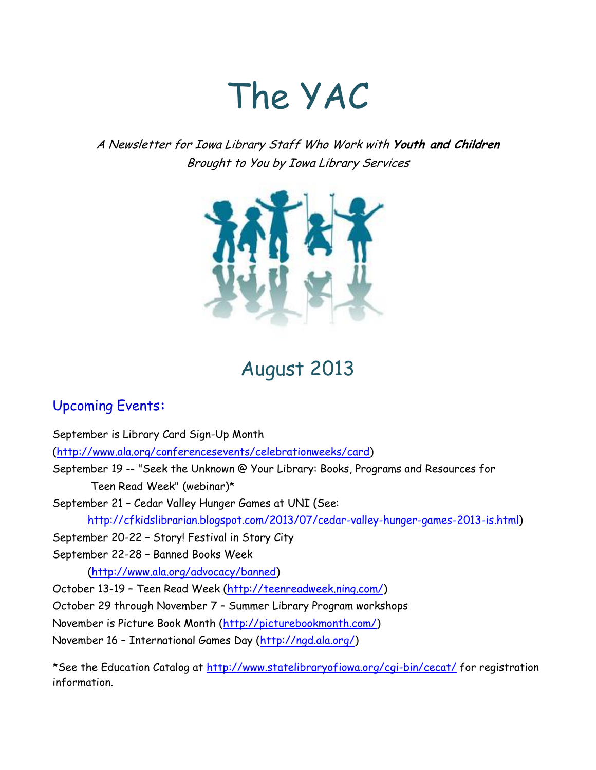# The YAC

A Newsletter for Iowa Library Staff Who Work with **Youth and Children** Brought to You by Iowa Library Services



# August 2013

# Upcoming Events**:**

information.

September is Library Card Sign-Up Month [\(http://www.ala.org/conferencesevents/celebrationweeks/card\)](http://www.ala.org/conferencesevents/celebrationweeks/card) September 19 -- "Seek the Unknown @ Your Library: Books, Programs and Resources for Teen Read Week" (webinar)\* September 21 – Cedar Valley Hunger Games at UNI (See: [http://cfkidslibrarian.blogspot.com/2013/07/cedar-valley-hunger-games-2013-is.html\)](http://cfkidslibrarian.blogspot.com/2013/07/cedar-valley-hunger-games-2013-is.html) September 20-22 – Story! Festival in Story City September 22-28 – Banned Books Week [\(http://www.ala.org/advocacy/banned\)](http://www.ala.org/advocacy/banned) October 13-19 – Teen Read Week [\(http://teenreadweek.ning.com/\)](http://teenreadweek.ning.com/) October 29 through November 7 – Summer Library Program workshops November is Picture Book Month [\(http://picturebookmonth.com/\)](http://picturebookmonth.com/) November 16 – International Games Day [\(http://ngd.ala.org/\)](http://ngd.ala.org/) \*See the Education Catalog at<http://www.statelibraryofiowa.org/cgi-bin/cecat/> for registration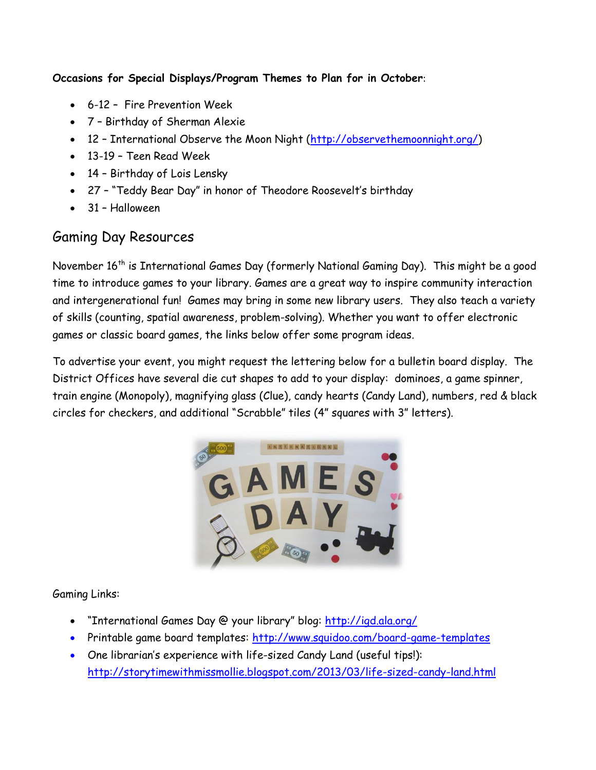**Occasions for Special Displays/Program Themes to Plan for in October**:

- 6-12 Fire Prevention Week
- 7 Birthday of Sherman Alexie
- 12 International Observe the Moon Night [\(http://observethemoonnight.org/\)](http://observethemoonnight.org/)
- 13-19 Teen Read Week
- 14 Birthday of Lois Lensky
- 27 "Teddy Bear Day" in honor of Theodore Roosevelt's birthday
- 31 Halloween

# Gaming Day Resources

November 16<sup>th</sup> is International Games Day (formerly National Gaming Day). This might be a good time to introduce games to your library. Games are a great way to inspire community interaction and intergenerational fun! Games may bring in some new library users. They also teach a variety of skills (counting, spatial awareness, problem-solving). Whether you want to offer electronic games or classic board games, the links below offer some program ideas.

To advertise your event, you might request the lettering below for a bulletin board display. The District Offices have several die cut shapes to add to your display: dominoes, a game spinner, train engine (Monopoly), magnifying glass (Clue), candy hearts (Candy Land), numbers, red & black circles for checkers, and additional "Scrabble" tiles (4" squares with 3" letters).



Gaming Links:

- . "International Games Day @ your library" blog: <http://igd.ala.org/>
- Printable game board templates: <http://www.squidoo.com/board-game-templates>
- One librarian's experience with life-sized Candy Land (useful tips!): <http://storytimewithmissmollie.blogspot.com/2013/03/life-sized-candy-land.html>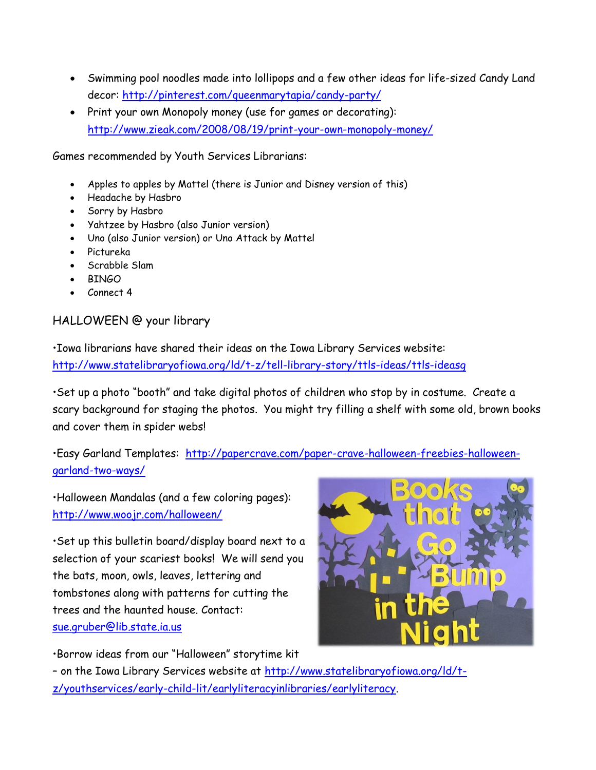- Swimming pool noodles made into lollipops and a few other ideas for life-sized Candy Land decor:<http://pinterest.com/queenmarytapia/candy-party/>
- Print your own Monopoly money (use for games or decorating): <http://www.zieak.com/2008/08/19/print-your-own-monopoly-money/>

Games recommended by Youth Services Librarians:

- Apples to apples by Mattel (there is Junior and Disney version of this)
- Headache by Hasbro
- Sorry by Hasbro
- Yahtzee by Hasbro (also Junior version)
- Uno (also Junior version) or Uno Attack by Mattel
- Pictureka
- Scrabble Slam
- **BINGO**
- Connect 4

### HALLOWEEN @ your library

•Iowa librarians have shared their ideas on the Iowa Library Services website: <http://www.statelibraryofiowa.org/ld/t-z/tell-library-story/ttls-ideas/ttls-ideasg>

•Set up a photo "booth" and take digital photos of children who stop by in costume. Create a scary background for staging the photos. You might try filling a shelf with some old, brown books and cover them in spider webs!

•Easy Garland Templates: [http://papercrave.com/paper-crave-halloween-freebies-halloween](http://papercrave.com/paper-crave-halloween-freebies-halloween-garland-two-ways/)[garland-two-ways/](http://papercrave.com/paper-crave-halloween-freebies-halloween-garland-two-ways/)

•Halloween Mandalas (and a few coloring pages): <http://www.woojr.com/halloween/>

•Set up this bulletin board/display board next to a selection of your scariest books! We will send you the bats, moon, owls, leaves, lettering and tombstones along with patterns for cutting the trees and the haunted house. Contact: [sue.gruber@lib.state.ia.us](mailto:sue.gruber@lib.state.ia.us)



•Borrow ideas from our "Halloween" storytime kit

– on the Iowa Library Services website at [http://www.statelibraryofiowa.org/ld/t](http://www.statelibraryofiowa.org/ld/t-z/youthservices/early-child-lit/earlyliteracyinlibraries/earlyliteracy)[z/youthservices/early-child-lit/earlyliteracyinlibraries/earlyliteracy.](http://www.statelibraryofiowa.org/ld/t-z/youthservices/early-child-lit/earlyliteracyinlibraries/earlyliteracy)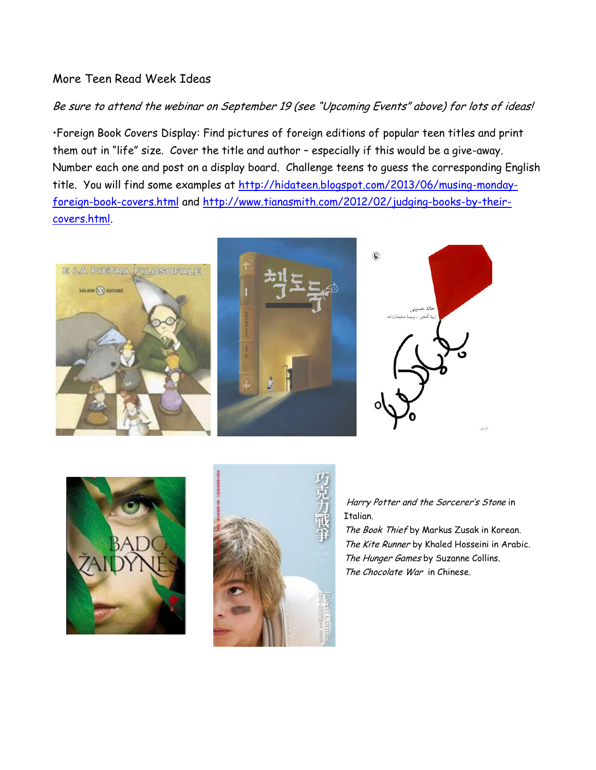### More Teen Read Week Ideas

#### Be sure to attend the webinar on September 19 (see "Upcoming Events" above) for lots of ideas!

•Foreign Book Covers Display: Find pictures of foreign editions of popular teen titles and print them out in "life" size. Cover the title and author – especially if this would be a give-away. Number each one and post on a display board. Challenge teens to guess the corresponding English title. You will find some examples at [http://hidateen.blogspot.com/2013/06/musing-monday](http://hidateen.blogspot.com/2013/06/musing-monday-foreign-book-covers.html)[foreign-book-covers.html](http://hidateen.blogspot.com/2013/06/musing-monday-foreign-book-covers.html) and [http://www.tianasmith.com/2012/02/judging-books-by-their](http://www.tianasmith.com/2012/02/judging-books-by-their-covers.html)[covers.html.](http://www.tianasmith.com/2012/02/judging-books-by-their-covers.html)







Harry Potter and the Sorcerer's Stone in Italian.

The Book Thief by Markus Zusak in Korean. The Kite Runner by Khaled Hosseini in Arabic. The Hunger Games by Suzanne Collins. The Chocolate War in Chinese.